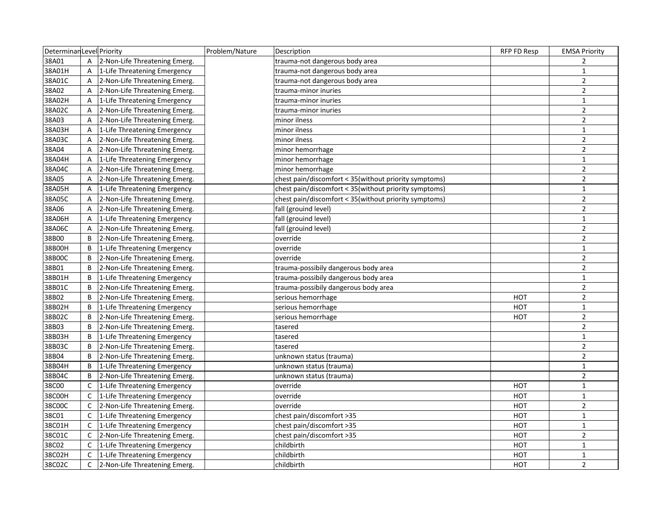| DeterminanLevel Priority |                |                                  | Problem/Nature | Description                                           | RFP FD Resp | <b>EMSA Priority</b> |
|--------------------------|----------------|----------------------------------|----------------|-------------------------------------------------------|-------------|----------------------|
| 38A01                    | $\overline{A}$ | 2-Non-Life Threatening Emerg.    |                | trauma-not dangerous body area                        |             | $\overline{2}$       |
| 38A01H                   | A              | 1-Life Threatening Emergency     |                | trauma-not dangerous body area                        |             | $\mathbf{1}$         |
| 38A01C                   | Α              | 2-Non-Life Threatening Emerg.    |                | trauma-not dangerous body area                        |             | $\overline{2}$       |
| 38A02                    | A              | 2-Non-Life Threatening Emerg.    |                | trauma-minor inuries                                  |             | $\overline{2}$       |
| 38A02H                   | Α              | 1-Life Threatening Emergency     |                | trauma-minor inuries                                  |             | $\mathbf{1}$         |
| 38A02C                   | Α              | 2-Non-Life Threatening Emerg.    |                | trauma-minor inuries                                  |             | $\overline{2}$       |
| 38A03                    | Α              | 2-Non-Life Threatening Emerg.    |                | minor ilness                                          |             | $\overline{2}$       |
| 38A03H                   | A              | 1-Life Threatening Emergency     |                | minor ilness                                          |             | $\mathbf{1}$         |
| 38A03C                   | A              | 2-Non-Life Threatening Emerg.    |                | minor ilness                                          |             | $\mathbf 2$          |
| 38A04                    | A              | 2-Non-Life Threatening Emerg.    |                | minor hemorrhage                                      |             | $\overline{2}$       |
| 38A04H                   | Α              | 1-Life Threatening Emergency     |                | minor hemorrhage                                      |             | $\mathbf{1}$         |
| 38A04C                   | A              | 2-Non-Life Threatening Emerg.    |                | minor hemorrhage                                      |             | $\overline{2}$       |
| 38A05                    | A              | 2-Non-Life Threatening Emerg.    |                | chest pain/discomfort < 35(without priority symptoms) |             | $\mathbf 2$          |
| 38A05H                   | A              | 1-Life Threatening Emergency     |                | chest pain/discomfort < 35(without priority symptoms) |             | $\mathbf{1}$         |
| 38A05C                   | A              | 2-Non-Life Threatening Emerg.    |                | chest pain/discomfort < 35(without priority symptoms) |             | $\overline{2}$       |
| 38A06                    | A              | 2-Non-Life Threatening Emerg.    |                | fall (grouind level)                                  |             | $\overline{2}$       |
| 38A06H                   | A              | 1-Life Threatening Emergency     |                | fall (grouind level)                                  |             | $\mathbf{1}$         |
| 38A06C                   | Α              | 2-Non-Life Threatening Emerg.    |                | fall (grouind level)                                  |             | $\mathbf 2$          |
| 38B00                    | B              | 2-Non-Life Threatening Emerg.    |                | override                                              |             | $\overline{2}$       |
| 38B00H                   | B              | 1-Life Threatening Emergency     |                | override                                              |             | $\mathbf{1}$         |
| 38B00C                   | B              | 2-Non-Life Threatening Emerg.    |                | override                                              |             | $\overline{2}$       |
| 38B01                    | B              | 2-Non-Life Threatening Emerg.    |                | trauma-possibily dangerous body area                  |             | $\overline{2}$       |
| 38B01H                   | В              | 1-Life Threatening Emergency     |                | trauma-possibily dangerous body area                  |             | $\mathbf 1$          |
| 38B01C                   | B              | 2-Non-Life Threatening Emerg.    |                | trauma-possibily dangerous body area                  |             | $\overline{2}$       |
| 38B02                    | B              | 2-Non-Life Threatening Emerg.    |                | serious hemorrhage                                    | <b>HOT</b>  | $\overline{2}$       |
| 38B02H                   | В              | 1-Life Threatening Emergency     |                | serious hemorrhage                                    | HOT         | $\mathbf{1}$         |
| 38B02C                   | В              | 2-Non-Life Threatening Emerg.    |                | serious hemorrhage                                    | <b>HOT</b>  | $\overline{2}$       |
| 38B03                    | B              | 2-Non-Life Threatening Emerg.    |                | tasered                                               |             | $\overline{2}$       |
| 38B03H                   | B              | 1-Life Threatening Emergency     |                | tasered                                               |             | 1                    |
| 38B03C                   | В              | 2-Non-Life Threatening Emerg.    |                | tasered                                               |             | $\overline{2}$       |
| 38B04                    | B              | 2-Non-Life Threatening Emerg.    |                | unknown status (trauma)                               |             | $\overline{2}$       |
| 38B04H                   | B              | 1-Life Threatening Emergency     |                | unknown status (trauma)                               |             | $\mathbf{1}$         |
| 38B04C                   | B              | 2-Non-Life Threatening Emerg.    |                | unknown status (trauma)                               |             | $\overline{2}$       |
| 38C00                    | C              | 1-Life Threatening Emergency     |                | override                                              | нот         | $\mathbf{1}$         |
| 38C00H                   |                | C   1-Life Threatening Emergency |                | override                                              | <b>HOT</b>  | $\mathbf{1}$         |
| 38C00C                   | $\mathsf{C}$   | 2-Non-Life Threatening Emerg.    |                | override                                              | <b>HOT</b>  | $\overline{2}$       |
| 38C01                    |                | C 1-Life Threatening Emergency   |                | chest pain/discomfort >35                             | <b>HOT</b>  | $\mathbf{1}$         |
| 38C01H                   |                | C   1-Life Threatening Emergency |                | chest pain/discomfort >35                             | <b>HOT</b>  | $\mathbf{1}$         |
| 38C01C                   |                | C 2-Non-Life Threatening Emerg.  |                | chest pain/discomfort >35                             | HOT         | $\mathbf 2$          |
| 38C02                    | $\mathsf{C}$   | 1-Life Threatening Emergency     |                | childbirth                                            | <b>HOT</b>  | $\mathbf{1}$         |
| 38C02H                   | C              | 1-Life Threatening Emergency     |                | childbirth                                            | <b>HOT</b>  | $\mathbf{1}$         |
| 38C02C                   | C              | 2-Non-Life Threatening Emerg.    |                | childbirth                                            | <b>HOT</b>  | $\overline{2}$       |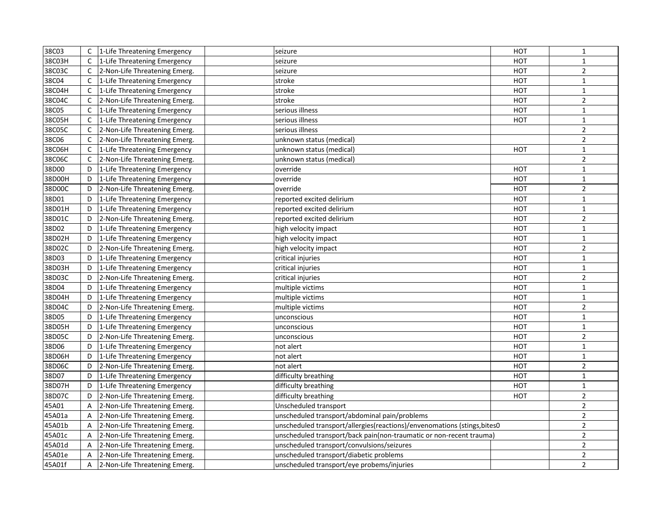| 38C03  |              | C 1-Life Threatening Emergency   | seizure                                                                  | HOT        | $\mathbf{1}$   |
|--------|--------------|----------------------------------|--------------------------------------------------------------------------|------------|----------------|
| 38C03H |              | C   1-Life Threatening Emergency | seizure                                                                  | HOT        | $\mathbf{1}$   |
| 38C03C | $\mathsf{C}$ | 2-Non-Life Threatening Emerg.    | seizure                                                                  | <b>HOT</b> | $\mathbf 2$    |
| 38C04  |              | C 1-Life Threatening Emergency   | stroke                                                                   | <b>HOT</b> | $\mathbf{1}$   |
| 38C04H |              | C   1-Life Threatening Emergency | stroke                                                                   | <b>HOT</b> | $\mathbf{1}$   |
| 38C04C | $\mathsf{C}$ | 2-Non-Life Threatening Emerg.    | stroke                                                                   | HOT        | $\overline{2}$ |
| 38C05  | $\mathsf{C}$ | 1-Life Threatening Emergency     | serious illness                                                          | <b>HOT</b> | $\mathbf{1}$   |
| 38C05H |              | C 1-Life Threatening Emergency   | serious illness                                                          | <b>HOT</b> | $\mathbf{1}$   |
| 38C05C | C            | 2-Non-Life Threatening Emerg.    | serious illness                                                          |            | $\mathbf 2$    |
| 38C06  |              | C 2-Non-Life Threatening Emerg.  | unknown status (medical)                                                 |            | $\overline{2}$ |
| 38C06H | $\mathsf{C}$ | 1-Life Threatening Emergency     | unknown status (medical)                                                 | <b>HOT</b> | $\mathbf{1}$   |
| 38C06C | $\mathsf{C}$ | 2-Non-Life Threatening Emerg.    | unknown status (medical)                                                 |            | $\overline{2}$ |
| 38D00  | D            | 1-Life Threatening Emergency     | override                                                                 | <b>HOT</b> | $\mathbf{1}$   |
| 38D00H | D            | 1-Life Threatening Emergency     | override                                                                 | <b>HOT</b> | $\mathbf{1}$   |
| 38D00C | D            | 2-Non-Life Threatening Emerg.    | override                                                                 | <b>HOT</b> | $\overline{2}$ |
| 38D01  | D            | 1-Life Threatening Emergency     | reported excited delirium                                                | <b>HOT</b> | $\mathbf{1}$   |
| 38D01H | D            | 1-Life Threatening Emergency     | reported excited delirium                                                | <b>HOT</b> | $\mathbf{1}$   |
| 38D01C | D            | 2-Non-Life Threatening Emerg.    | reported excited delirium                                                | <b>HOT</b> | $\overline{2}$ |
| 38D02  | D            | 1-Life Threatening Emergency     | high velocity impact                                                     | <b>HOT</b> | $\mathbf{1}$   |
| 38D02H | D            | 1-Life Threatening Emergency     | high velocity impact                                                     | <b>HOT</b> | $\mathbf 1$    |
| 38D02C | D            | 2-Non-Life Threatening Emerg.    | high velocity impact                                                     | <b>HOT</b> | $\overline{2}$ |
| 38D03  | D            | 1-Life Threatening Emergency     | critical injuries                                                        | <b>HOT</b> | $\mathbf{1}$   |
| 38D03H | D            | 1-Life Threatening Emergency     | critical injuries                                                        | <b>HOT</b> | $\mathbf{1}$   |
| 38D03C |              | D 2-Non-Life Threatening Emerg.  | critical injuries                                                        | <b>HOT</b> | $\overline{2}$ |
| 38D04  | D            | 1-Life Threatening Emergency     | multiple victims                                                         | <b>HOT</b> | $\mathbf 1$    |
| 38D04H | D            | 1-Life Threatening Emergency     | multiple victims                                                         | <b>HOT</b> | $\mathbf{1}$   |
| 38D04C | D            | 2-Non-Life Threatening Emerg.    | multiple victims                                                         | <b>HOT</b> | $\overline{2}$ |
| 38D05  | D            | 1-Life Threatening Emergency     | unconscious                                                              | <b>HOT</b> | $\mathbf 1$    |
| 38D05H | D            | 1-Life Threatening Emergency     | unconscious                                                              | <b>HOT</b> | $\mathbf{1}$   |
| 38D05C | D            | 2-Non-Life Threatening Emerg.    | unconscious                                                              | <b>HOT</b> | $\overline{2}$ |
| 38D06  | D            | 1-Life Threatening Emergency     | not alert                                                                | HOT        | $\mathbf{1}$   |
| 38D06H | D            | 1-Life Threatening Emergency     | not alert                                                                | <b>HOT</b> | $\mathbf 1$    |
| 38D06C | D            | 2-Non-Life Threatening Emerg.    | not alert                                                                | <b>HOT</b> | $\overline{2}$ |
| 38D07  | D            | 1-Life Threatening Emergency     | difficulty breathing                                                     | <b>HOT</b> | $\mathbf{1}$   |
| 38D07H | D            | 1-Life Threatening Emergency     | difficulty breathing                                                     | <b>HOT</b> | $\mathbf{1}$   |
| 38D07C | D            | 2-Non-Life Threatening Emerg.    | difficulty breathing                                                     | <b>HOT</b> | $\overline{2}$ |
| 45A01  | A            | 2-Non-Life Threatening Emerg.    | Unscheduled transport                                                    |            | $\overline{2}$ |
| 45A01a | A            | 2-Non-Life Threatening Emerg.    | unscheduled transport/abdominal pain/problems                            |            | $\mathbf 2$    |
| 45A01b | Α            | 2-Non-Life Threatening Emerg.    | unscheduled transport/allergies(reactions)/envenomations (stings, bites0 |            | $\overline{2}$ |
| 45A01c | A            | 2-Non-Life Threatening Emerg.    | unscheduled transport/back pain(non-traumatic or non-recent trauma)      |            | $\overline{2}$ |
| 45A01d | A            | 2-Non-Life Threatening Emerg.    | unscheduled transport/convulsions/seizures                               |            | $\overline{2}$ |
| 45A01e | A            | 2-Non-Life Threatening Emerg.    | unscheduled transport/diabetic problems                                  |            | $\mathbf 2$    |
| 45A01f | A            | 2-Non-Life Threatening Emerg.    | unscheduled transport/eye probems/injuries                               |            | $\overline{2}$ |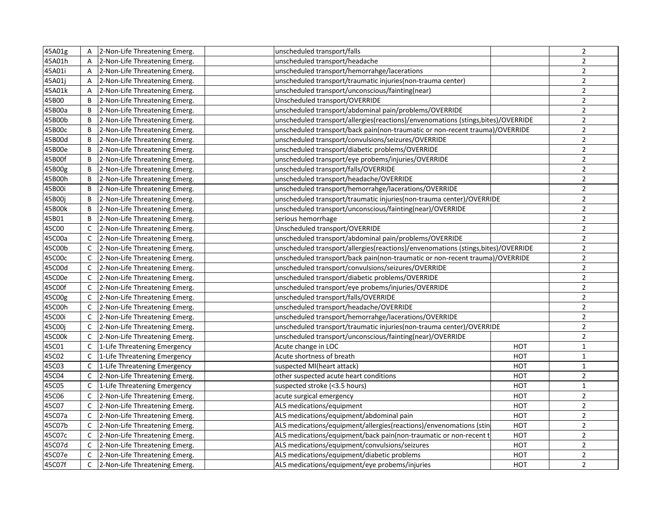| 45A01g |              | A 2-Non-Life Threatening Emerg.  | unscheduled transport/falls                                                       |            | $\overline{2}$ |
|--------|--------------|----------------------------------|-----------------------------------------------------------------------------------|------------|----------------|
| 45A01h | A            | 2-Non-Life Threatening Emerg.    | unscheduled transport/headache                                                    |            | $\overline{2}$ |
| 45A01i | $\mathsf{A}$ | 2-Non-Life Threatening Emerg.    | unscheduled transport/hemorrahge/lacerations                                      |            | $\overline{2}$ |
| 45A01j | A            | 2-Non-Life Threatening Emerg.    | unscheduled transport/traumatic injuries(non-trauma center)                       |            | $\overline{2}$ |
| 45A01k | A            | 2-Non-Life Threatening Emerg.    | unscheduled transport/unconscious/fainting(near)                                  |            | $\overline{2}$ |
| 45B00  | B            | 2-Non-Life Threatening Emerg.    | Unscheduled transport/OVERRIDE                                                    |            | $\overline{2}$ |
| 45B00a | B            | 2-Non-Life Threatening Emerg.    | unscheduled transport/abdominal pain/problems/OVERRIDE                            |            | $\overline{2}$ |
| 45B00b | B            | 2-Non-Life Threatening Emerg.    | unscheduled transport/allergies(reactions)/envenomations (stings, bites)/OVERRIDE |            | $\mathbf 2$    |
| 45B00c | B            | 2-Non-Life Threatening Emerg.    | unscheduled transport/back pain(non-traumatic or non-recent trauma)/OVERRIDE      |            | $\mathbf 2$    |
| 45B00d | B            | 2-Non-Life Threatening Emerg.    | unscheduled transport/convulsions/seizures/OVERRIDE                               |            | $\mathbf 2$    |
| 45B00e | B            | 2-Non-Life Threatening Emerg.    | unscheduled transport/diabetic problems/OVERRIDE                                  |            | $\overline{2}$ |
| 45B00f | B            | 2-Non-Life Threatening Emerg.    | unscheduled transport/eye probems/injuries/OVERRIDE                               |            | $\overline{2}$ |
| 45B00g | B            | 2-Non-Life Threatening Emerg.    | unscheduled transport/falls/OVERRIDE                                              |            | $\overline{2}$ |
| 45B00h | B            | 2-Non-Life Threatening Emerg.    | unscheduled transport/headache/OVERRIDE                                           |            | $\overline{2}$ |
| 45B00i | B            | 2-Non-Life Threatening Emerg.    | unscheduled transport/hemorrahge/lacerations/OVERRIDE                             |            | $\mathbf 2$    |
| 45B00j | B            | 2-Non-Life Threatening Emerg.    | unscheduled transport/traumatic injuries(non-trauma center)/OVERRIDE              |            | $\overline{2}$ |
| 45B00k | B            | 2-Non-Life Threatening Emerg.    | unscheduled transport/unconscious/fainting(near)/OVERRIDE                         |            | $\mathbf 2$    |
| 45B01  | B            | 2-Non-Life Threatening Emerg.    | serious hemorrhage                                                                |            | $\mathbf 2$    |
| 45C00  | C            | 2-Non-Life Threatening Emerg.    | Unscheduled transport/OVERRIDE                                                    |            | $\overline{2}$ |
| 45C00a | $\mathsf{C}$ | 2-Non-Life Threatening Emerg.    | unscheduled transport/abdominal pain/problems/OVERRIDE                            |            | $\overline{2}$ |
| 45C00b | $\mathsf{C}$ | 2-Non-Life Threatening Emerg.    | unscheduled transport/allergies(reactions)/envenomations (stings, bites)/OVERRIDE |            | $\overline{2}$ |
| 45C00c | C            | 2-Non-Life Threatening Emerg.    | unscheduled transport/back pain(non-traumatic or non-recent trauma)/OVERRIDE      |            | $\overline{2}$ |
| 45C00d | $\mathsf{C}$ | 2-Non-Life Threatening Emerg.    | unscheduled transport/convulsions/seizures/OVERRIDE                               |            | $\mathbf 2$    |
| 45C00e | C            | 2-Non-Life Threatening Emerg.    | unscheduled transport/diabetic problems/OVERRIDE                                  |            | $\mathbf 2$    |
| 45C00f | $\mathsf{C}$ | 2-Non-Life Threatening Emerg.    | unscheduled transport/eye probems/injuries/OVERRIDE                               |            | $\mathbf 2$    |
| 45C00g | $\mathsf{C}$ | 2-Non-Life Threatening Emerg.    | unscheduled transport/falls/OVERRIDE                                              |            | $\overline{2}$ |
| 45C00h | $\mathsf{C}$ | 2-Non-Life Threatening Emerg.    | unscheduled transport/headache/OVERRIDE                                           |            | $\overline{2}$ |
| 45C00i | C            | 2-Non-Life Threatening Emerg.    | unscheduled transport/hemorrahge/lacerations/OVERRIDE                             |            | $\overline{2}$ |
| 45C00j | $\mathsf{C}$ | 2-Non-Life Threatening Emerg.    | unscheduled transport/traumatic injuries(non-trauma center)/OVERRIDE              |            | $\overline{2}$ |
| 45C00k | $\mathsf{C}$ | 2-Non-Life Threatening Emerg.    | unscheduled transport/unconscious/fainting(near)/OVERRIDE                         |            | $\overline{2}$ |
| 45C01  | $\mathsf{C}$ | 1-Life Threatening Emergency     | Acute change in LOC                                                               | HOT        | $\mathbf{1}$   |
| 45C02  |              | C   1-Life Threatening Emergency | Acute shortness of breath                                                         | HOT        | $\mathbf{1}$   |
| 45C03  | $\mathsf{C}$ | 1-Life Threatening Emergency     | suspected MI(heart attack)                                                        | <b>HOT</b> | $\mathbf{1}$   |
| 45C04  | $\mathsf{C}$ | 2-Non-Life Threatening Emerg.    | other suspected acute heart conditions                                            | <b>HOT</b> | $\overline{2}$ |
| 45C05  | $\mathsf{C}$ | 1-Life Threatening Emergency     | suspected stroke (<3.5 hours)                                                     | <b>HOT</b> | $\mathbf{1}$   |
| 45C06  | $\mathsf{C}$ | 2-Non-Life Threatening Emerg.    | acute surgical emergency                                                          | HOT        | $\overline{2}$ |
| 45C07  | $\mathsf{C}$ | 2-Non-Life Threatening Emerg.    | ALS medications/equipment                                                         | <b>HOT</b> | $\mathbf 2$    |
| 45C07a | C            | 2-Non-Life Threatening Emerg.    | ALS medications/equipment/abdominal pain                                          | <b>HOT</b> | $\mathbf 2$    |
| 45C07b | C            | 2-Non-Life Threatening Emerg.    | ALS medications/equipment/allergies(reactions)/envenomations (stin                | <b>HOT</b> | $\mathbf 2$    |
| 45C07c | $\mathsf{C}$ | 2-Non-Life Threatening Emerg.    | ALS medications/equipment/back pain(non-traumatic or non-recent t                 | HOT        | $\mathbf 2$    |
| 45C07d | C            | 2-Non-Life Threatening Emerg.    | ALS medications/equipment/convulsions/seizures                                    | <b>HOT</b> | $\mathbf 2$    |
| 45C07e | C            | 2-Non-Life Threatening Emerg.    | ALS medications/equipment/diabetic problems                                       | <b>HOT</b> | $\overline{2}$ |
| 45C07f | C            | 2-Non-Life Threatening Emerg.    | ALS medications/equipment/eye probems/injuries                                    | <b>HOT</b> | $\mathbf 2$    |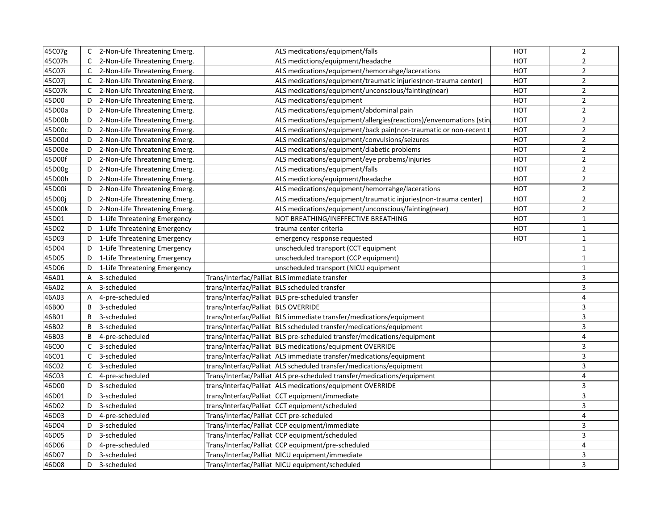| 45C07g |              | C 2-Non-Life Threatening Emerg.  |                                          | ALS medications/equipment/falls                                          | HOT        | $\overline{2}$ |
|--------|--------------|----------------------------------|------------------------------------------|--------------------------------------------------------------------------|------------|----------------|
| 45C07h |              | C 2-Non-Life Threatening Emerg.  |                                          | ALS medictions/equipment/headache                                        | <b>HOT</b> | $\overline{2}$ |
| 45C07i | $\mathsf{C}$ | 2-Non-Life Threatening Emerg.    |                                          | ALS medications/equipment/hemorrahge/lacerations                         | <b>HOT</b> | $\overline{2}$ |
| 45C07j |              | C 2-Non-Life Threatening Emerg.  |                                          | ALS medications/equipment/traumatic injuries(non-trauma center)          | <b>HOT</b> | $\overline{2}$ |
| 45C07k | C            | 2-Non-Life Threatening Emerg.    |                                          | ALS medications/equipment/unconscious/fainting(near)                     | <b>HOT</b> | $\overline{2}$ |
| 45D00  | D            | 2-Non-Life Threatening Emerg.    |                                          | ALS medications/equipment                                                | HOT        | $\overline{2}$ |
| 45D00a | D            | 2-Non-Life Threatening Emerg.    |                                          | ALS medications/equipment/abdominal pain                                 | <b>HOT</b> | $\overline{2}$ |
| 45D00b | D            | 2-Non-Life Threatening Emerg.    |                                          | ALS medications/equipment/allergies(reactions)/envenomations (stin       | HOT        | $\mathbf 2$    |
| 45D00c | D            | 2-Non-Life Threatening Emerg.    |                                          | ALS medications/equipment/back pain(non-traumatic or non-recent t        | <b>HOT</b> | $\overline{2}$ |
| 45D00d | D            | 2-Non-Life Threatening Emerg.    |                                          | ALS medications/equipment/convulsions/seizures                           | <b>HOT</b> | $\mathbf 2$    |
| 45D00e | D            | 2-Non-Life Threatening Emerg.    |                                          | ALS medications/equipment/diabetic problems                              | <b>HOT</b> | $\overline{2}$ |
| 45D00f | D            | 2-Non-Life Threatening Emerg.    |                                          | ALS medications/equipment/eye probems/injuries                           | <b>HOT</b> | $\overline{2}$ |
| 45D00g | D            | 2-Non-Life Threatening Emerg.    |                                          | ALS medications/equipment/falls                                          | <b>HOT</b> | $\overline{2}$ |
| 45D00h | D            | 2-Non-Life Threatening Emerg.    |                                          | ALS medictions/equipment/headache                                        | <b>HOT</b> | $\overline{2}$ |
| 45D00i | D            | 2-Non-Life Threatening Emerg.    |                                          | ALS medications/equipment/hemorrahge/lacerations                         | <b>HOT</b> | $\overline{2}$ |
| 45D00j | D            | 2-Non-Life Threatening Emerg.    |                                          | ALS medications/equipment/traumatic injuries(non-trauma center)          | <b>HOT</b> | $\overline{2}$ |
| 45D00k | D            | 2-Non-Life Threatening Emerg.    |                                          | ALS medications/equipment/unconscious/fainting(near)                     | <b>HOT</b> | $\overline{2}$ |
| 45D01  | D            | 1-Life Threatening Emergency     |                                          | NOT BREATHING/INEFFECTIVE BREATHING                                      | HOT        | $\mathbf{1}$   |
| 45D02  |              | D   1-Life Threatening Emergency |                                          | trauma center criteria                                                   | HOT        | $\mathbf{1}$   |
| 45D03  |              | D   1-Life Threatening Emergency |                                          | emergency response requested                                             | <b>HOT</b> | $\mathbf{1}$   |
| 45D04  | D            | 1-Life Threatening Emergency     |                                          | unscheduled transport (CCT equipment                                     |            | $\mathbf{1}$   |
| 45D05  | D            | 1-Life Threatening Emergency     |                                          | unscheduled transport (CCP equipment)                                    |            | $\mathbf{1}$   |
| 45D06  | D            | 1-Life Threatening Emergency     |                                          | unscheduled transport (NICU equipment                                    |            | $\mathbf 1$    |
| 46A01  | A            | 3-scheduled                      |                                          | Trans/Interfac/Palliat BLS immediate transfer                            |            | $\mathsf 3$    |
| 46A02  | A            | 3-scheduled                      |                                          | trans/Interfac/Palliat  BLS scheduled transfer                           |            | $\overline{3}$ |
| 46A03  | A            | 4-pre-scheduled                  |                                          | trans/Interfac/Palliat BLS pre-scheduled transfer                        |            | 4              |
| 46B00  | B            | 3-scheduled                      | trans/Interfac/Palliat BLS OVERRIDE      |                                                                          |            | 3              |
| 46B01  | B            | 3-scheduled                      |                                          | trans/Interfac/Palliat   BLS immediate transfer/medications/equipment    |            | 3              |
| 46B02  | B            | 3-scheduled                      |                                          | trans/Interfac/Palliat   BLS scheduled transfer/medications/equipment    |            | $\overline{3}$ |
| 46B03  | B            | 4-pre-scheduled                  |                                          | trans/Interfac/Palliat  BLS pre-scheduled transfer/medications/equipment |            | 4              |
| 46C00  | $\mathsf{C}$ | 3-scheduled                      |                                          | trans/Interfac/Palliat BLS medications/equipment OVERRIDE                |            | $\mathbf{3}$   |
| 46C01  | C            | 3-scheduled                      |                                          | trans/Interfac/Palliat ALS immediate transfer/medications/equipment      |            | $\overline{3}$ |
| 46C02  | $\mathsf{C}$ | 3-scheduled                      |                                          | trans/Interfac/Palliat   ALS scheduled transfer/medications/equipment    |            | $\overline{3}$ |
| 46C03  | C            | 4-pre-scheduled                  |                                          | Trans/Interfac/Palliat ALS pre-scheduled transfer/medications/equipment  |            | 4              |
| 46D00  | D            | 3-scheduled                      |                                          | trans/Interfac/Palliat ALS medications/equipment OVERRIDE                |            | $\mathbf{3}$   |
| 46D01  | D            | 3-scheduled                      |                                          | trans/Interfac/Palliat CCT equipment/immediate                           |            | $\overline{3}$ |
| 46D02  | D            | 3-scheduled                      |                                          | trans/Interfac/Palliat CCT equipment/scheduled                           |            | $\mathbf{3}$   |
| 46D03  | D            | 4-pre-scheduled                  | Trans/Interfac/Palliat CCT pre-scheduled |                                                                          |            | $\overline{4}$ |
| 46D04  | D            | 3-scheduled                      |                                          | Trans/Interfac/Palliat CCP equipment/immediate                           |            | $\overline{3}$ |
| 46D05  | D            | 3-scheduled                      |                                          | Trans/Interfac/Palliat CCP equipment/scheduled                           |            | $\overline{3}$ |
| 46D06  | D            | 4-pre-scheduled                  |                                          | Trans/Interfac/Palliat CCP equipment/pre-scheduled                       |            | $\overline{4}$ |
| 46D07  | D            | 3-scheduled                      |                                          | Trans/Interfac/Palliat NICU equipment/immediate                          |            | 3              |
| 46D08  | D            | 3-scheduled                      |                                          | Trans/Interfac/Palliat NICU equipment/scheduled                          |            | 3              |